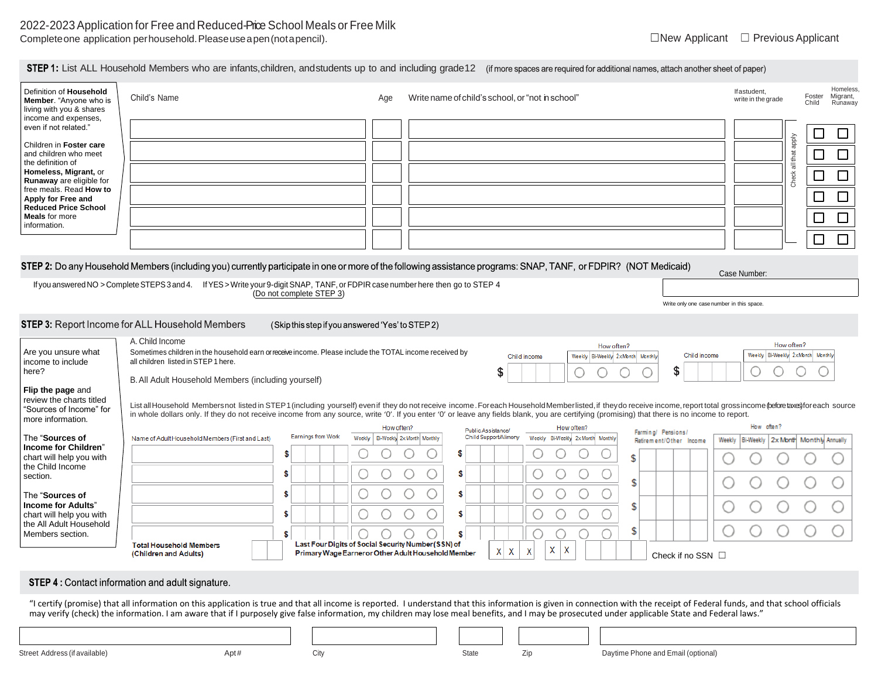| Definition of Household<br>Member. "Anyone who is<br>living with you & shares    | Child's Name                                                                                                                                                                                                                                                                                                                                                                                                                |                                                           | Aae                                                 | Write name of child's school, or "not in school" |                                                 |                                           | Ifastudent,<br>write in the grade                              | Homeless<br>Migrant,<br>Foster<br>Runaway<br>Child |  |  |  |
|----------------------------------------------------------------------------------|-----------------------------------------------------------------------------------------------------------------------------------------------------------------------------------------------------------------------------------------------------------------------------------------------------------------------------------------------------------------------------------------------------------------------------|-----------------------------------------------------------|-----------------------------------------------------|--------------------------------------------------|-------------------------------------------------|-------------------------------------------|----------------------------------------------------------------|----------------------------------------------------|--|--|--|
| income and expenses,<br>even if not related."                                    |                                                                                                                                                                                                                                                                                                                                                                                                                             |                                                           |                                                     |                                                  |                                                 |                                           |                                                                | $\Box$<br>$\Box$                                   |  |  |  |
| Children in Foster care<br>and children who meet<br>the definition of            |                                                                                                                                                                                                                                                                                                                                                                                                                             |                                                           |                                                     |                                                  |                                                 |                                           | Check all that apply                                           | $\Box$<br>⊏                                        |  |  |  |
| Homeless, Migrant, or<br>Runaway are eligible for                                |                                                                                                                                                                                                                                                                                                                                                                                                                             |                                                           |                                                     |                                                  |                                                 |                                           |                                                                | $\Box$<br>$\Box$                                   |  |  |  |
| free meals. Read How to<br>Apply for Free and<br><b>Reduced Price School</b>     |                                                                                                                                                                                                                                                                                                                                                                                                                             |                                                           |                                                     |                                                  |                                                 |                                           |                                                                | $\Box$<br>$\Box$                                   |  |  |  |
| <b>Meals</b> for more<br>information.                                            |                                                                                                                                                                                                                                                                                                                                                                                                                             |                                                           |                                                     |                                                  |                                                 |                                           |                                                                | $\Box$<br>$\Box$                                   |  |  |  |
|                                                                                  |                                                                                                                                                                                                                                                                                                                                                                                                                             |                                                           |                                                     |                                                  |                                                 |                                           |                                                                | $\Box$<br>$\Box$                                   |  |  |  |
|                                                                                  | STEP 2: Do any Household Members (including you) currently participate in one or more of the following assistance programs: SNAP, TANF, or FDPIR? (NOT Medicaid)                                                                                                                                                                                                                                                            |                                                           |                                                     |                                                  |                                                 |                                           | Case Number:                                                   |                                                    |  |  |  |
|                                                                                  | If you answered NO > Complete STEPS 3 and 4. If YES > Write your 9-digit SNAP, TANF, or FDPIR case number here then go to STEP 4                                                                                                                                                                                                                                                                                            | (Do not complete STEP 3)                                  |                                                     |                                                  |                                                 |                                           |                                                                |                                                    |  |  |  |
|                                                                                  |                                                                                                                                                                                                                                                                                                                                                                                                                             |                                                           |                                                     |                                                  |                                                 | Write only one case number in this space. |                                                                |                                                    |  |  |  |
|                                                                                  | STEP 3: Report Income for ALL Household Members                                                                                                                                                                                                                                                                                                                                                                             | (Skip this step if you answered 'Yes' to STEP 2)          |                                                     |                                                  |                                                 |                                           |                                                                |                                                    |  |  |  |
| Are you unsure what                                                              | A. Child Income<br>Sometimes children in the household earn or receive income. Please include the TOTAL income received by                                                                                                                                                                                                                                                                                                  |                                                           |                                                     |                                                  | How often?                                      |                                           | How often?                                                     |                                                    |  |  |  |
| income to include<br>here?                                                       | Weekly Bi-Weekly 2xMonth Monthly<br>Child income<br>Weekly Bi-Weekly 2xMonth Monthly<br>Child income<br>all children listed in STEP 1 here.<br>\$<br>S                                                                                                                                                                                                                                                                      |                                                           |                                                     |                                                  |                                                 |                                           |                                                                |                                                    |  |  |  |
| Flip the page and                                                                | B. All Adult Household Members (including yourself)                                                                                                                                                                                                                                                                                                                                                                         |                                                           |                                                     |                                                  |                                                 |                                           |                                                                |                                                    |  |  |  |
| review the charts titled<br>"Sources of Income" for<br>more information.         | List all Household Membersnot listed in STEP1 (including yourself) even if they do not receive income. Foreach Household Memberlisted, if they do receive income, report total grossincome (pefore taxes) for each source<br>in whole dollars only. If they do not receive income from any source, write '0'. If you enter '0' or leave any fields blank, you are certifying (promising) that there is no income to report. |                                                           |                                                     |                                                  |                                                 |                                           |                                                                |                                                    |  |  |  |
| The "Sources of                                                                  | Name of Adult Household Members (First and Last)                                                                                                                                                                                                                                                                                                                                                                            | <b>Earnings from Work</b>                                 | How often?<br>Weekly   Bi-Weekly 2x Month   Monthly | Public Assistance/<br>Child Support/Alimony      | How often?<br>Weekly Bi-Weekly 2x Month Monthly | Farming/ Pensions/                        | How often?<br>Weekly   Bi-Weekly   2x Month   Monthly Annually |                                                    |  |  |  |
| Income for Children"<br>chart will help you with                                 |                                                                                                                                                                                                                                                                                                                                                                                                                             | S.                                                        |                                                     | S                                                |                                                 | Retirement/Other Income<br>\$             |                                                                |                                                    |  |  |  |
| the Child Income<br>section.                                                     |                                                                                                                                                                                                                                                                                                                                                                                                                             | \$                                                        |                                                     | \$                                               |                                                 | \$                                        |                                                                |                                                    |  |  |  |
| The "Sources of                                                                  |                                                                                                                                                                                                                                                                                                                                                                                                                             | \$                                                        |                                                     | \$                                               |                                                 |                                           |                                                                |                                                    |  |  |  |
| <b>Income for Adults"</b><br>chart will help you with<br>the All Adult Household |                                                                                                                                                                                                                                                                                                                                                                                                                             | \$                                                        |                                                     | \$.                                              |                                                 | \$                                        |                                                                |                                                    |  |  |  |
| Members section.                                                                 |                                                                                                                                                                                                                                                                                                                                                                                                                             | \$<br>Last Four Digits of Social Security Number (SSN) of |                                                     | \$.                                              |                                                 | \$                                        |                                                                |                                                    |  |  |  |
|                                                                                  | <b>Total Household Members</b><br>(Children and Adults)                                                                                                                                                                                                                                                                                                                                                                     | Primary Wage Earner or Other Adult Household Member       |                                                     | $\mathsf{X}$<br>X                                | X<br>X<br>X                                     | Check if no SSN $\square$                 |                                                                |                                                    |  |  |  |
|                                                                                  |                                                                                                                                                                                                                                                                                                                                                                                                                             |                                                           |                                                     |                                                  |                                                 |                                           |                                                                |                                                    |  |  |  |

# **STEP 4: Contact information and adult signature.**

"I certify (promise) that all information on this application is true and that all income is reported. I understand that this information is given in connection with the receipt of Federal funds, and that school officials may verify (check) the information. I am aware that if I purposely give false information, my children may lose meal benefits, and I may be prosecuted under applicable State and Federal laws."

| Street Add<br>the contract of the contract of the contract of the contract of the contract of the contract of the contract of | Apt# | ᄖ | State | Daytime Phone and Email (optional)<br><b>Contract Contract Contract Contract</b> |
|-------------------------------------------------------------------------------------------------------------------------------|------|---|-------|----------------------------------------------------------------------------------|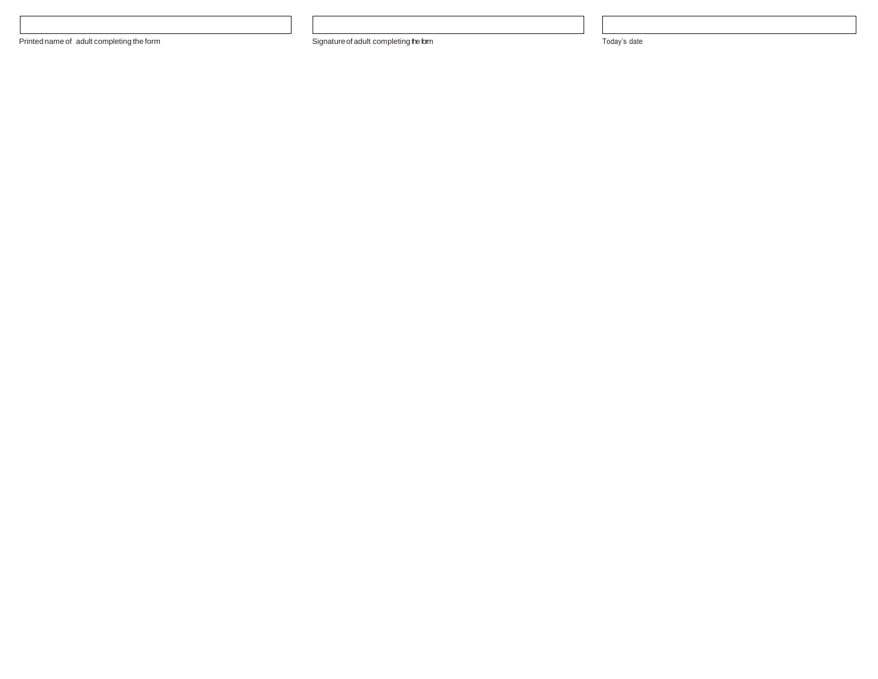Printed name of adult completing the form **System Signature** of adult completing the form **Signature** of adult completing the form and a state